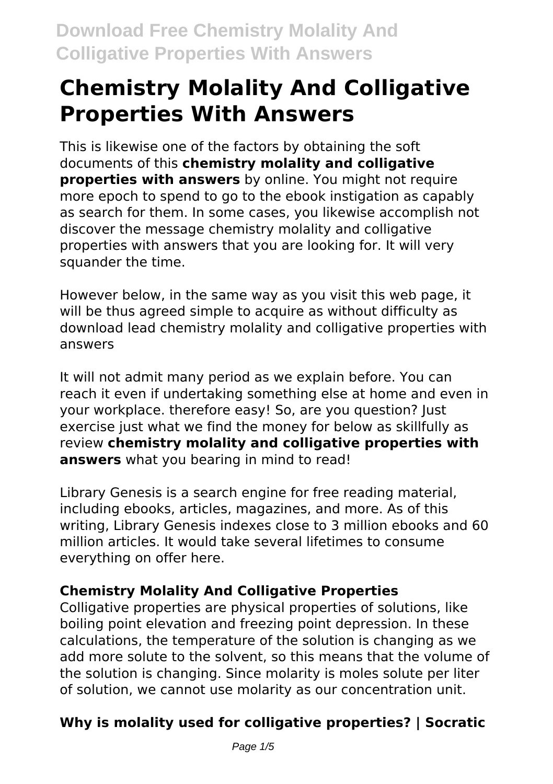# **Chemistry Molality And Colligative Properties With Answers**

This is likewise one of the factors by obtaining the soft documents of this **chemistry molality and colligative properties with answers** by online. You might not require more epoch to spend to go to the ebook instigation as capably as search for them. In some cases, you likewise accomplish not discover the message chemistry molality and colligative properties with answers that you are looking for. It will very squander the time.

However below, in the same way as you visit this web page, it will be thus agreed simple to acquire as without difficulty as download lead chemistry molality and colligative properties with answers

It will not admit many period as we explain before. You can reach it even if undertaking something else at home and even in your workplace. therefore easy! So, are you question? Just exercise just what we find the money for below as skillfully as review **chemistry molality and colligative properties with answers** what you bearing in mind to read!

Library Genesis is a search engine for free reading material, including ebooks, articles, magazines, and more. As of this writing, Library Genesis indexes close to 3 million ebooks and 60 million articles. It would take several lifetimes to consume everything on offer here.

#### **Chemistry Molality And Colligative Properties**

Colligative properties are physical properties of solutions, like boiling point elevation and freezing point depression. In these calculations, the temperature of the solution is changing as we add more solute to the solvent, so this means that the volume of the solution is changing. Since molarity is moles solute per liter of solution, we cannot use molarity as our concentration unit.

### **Why is molality used for colligative properties? | Socratic**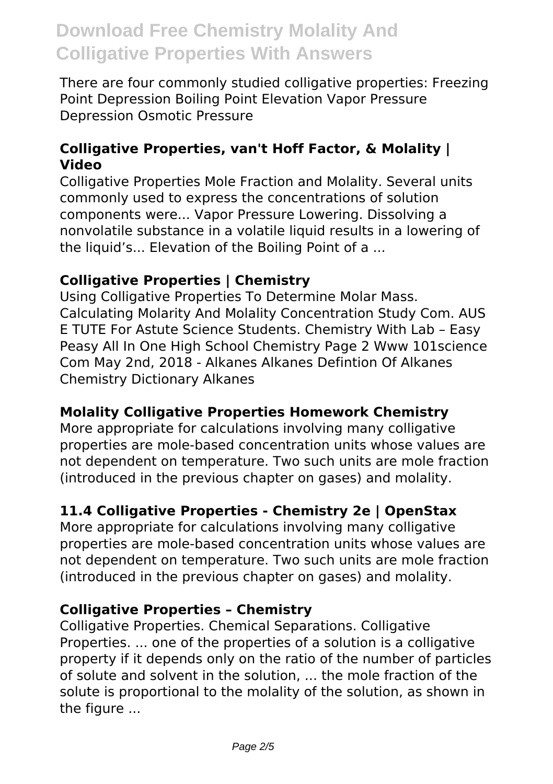There are four commonly studied colligative properties: Freezing Point Depression Boiling Point Elevation Vapor Pressure Depression Osmotic Pressure

#### **Colligative Properties, van't Hoff Factor, & Molality | Video**

Colligative Properties Mole Fraction and Molality. Several units commonly used to express the concentrations of solution components were... Vapor Pressure Lowering. Dissolving a nonvolatile substance in a volatile liquid results in a lowering of the liquid's... Elevation of the Boiling Point of a ...

#### **Colligative Properties | Chemistry**

Using Colligative Properties To Determine Molar Mass. Calculating Molarity And Molality Concentration Study Com. AUS E TUTE For Astute Science Students. Chemistry With Lab – Easy Peasy All In One High School Chemistry Page 2 Www 101science Com May 2nd, 2018 - Alkanes Alkanes Defintion Of Alkanes Chemistry Dictionary Alkanes

#### **Molality Colligative Properties Homework Chemistry**

More appropriate for calculations involving many colligative properties are mole-based concentration units whose values are not dependent on temperature. Two such units are mole fraction (introduced in the previous chapter on gases) and molality.

#### **11.4 Colligative Properties - Chemistry 2e | OpenStax**

More appropriate for calculations involving many colligative properties are mole-based concentration units whose values are not dependent on temperature. Two such units are mole fraction (introduced in the previous chapter on gases) and molality.

#### **Colligative Properties – Chemistry**

Colligative Properties. Chemical Separations. Colligative Properties. ... one of the properties of a solution is a colligative property if it depends only on the ratio of the number of particles of solute and solvent in the solution, ... the mole fraction of the solute is proportional to the molality of the solution, as shown in the figure ...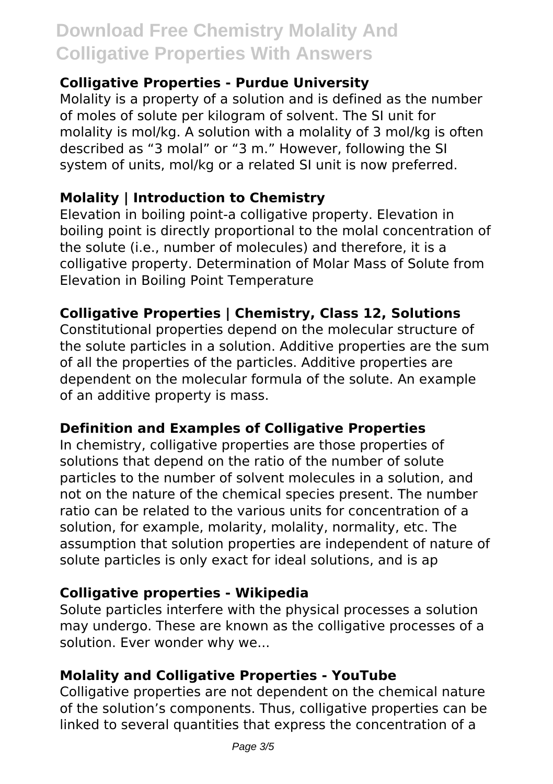#### **Colligative Properties - Purdue University**

Molality is a property of a solution and is defined as the number of moles of solute per kilogram of solvent. The SI unit for molality is mol/kg. A solution with a molality of 3 mol/kg is often described as "3 molal" or "3 m." However, following the SI system of units, mol/kg or a related SI unit is now preferred.

#### **Molality | Introduction to Chemistry**

Elevation in boiling point-a colligative property. Elevation in boiling point is directly proportional to the molal concentration of the solute (i.e., number of molecules) and therefore, it is a colligative property. Determination of Molar Mass of Solute from Elevation in Boiling Point Temperature

#### **Colligative Properties | Chemistry, Class 12, Solutions**

Constitutional properties depend on the molecular structure of the solute particles in a solution. Additive properties are the sum of all the properties of the particles. Additive properties are dependent on the molecular formula of the solute. An example of an additive property is mass.

#### **Definition and Examples of Colligative Properties**

In chemistry, colligative properties are those properties of solutions that depend on the ratio of the number of solute particles to the number of solvent molecules in a solution, and not on the nature of the chemical species present. The number ratio can be related to the various units for concentration of a solution, for example, molarity, molality, normality, etc. The assumption that solution properties are independent of nature of solute particles is only exact for ideal solutions, and is ap

#### **Colligative properties - Wikipedia**

Solute particles interfere with the physical processes a solution may undergo. These are known as the colligative processes of a solution. Ever wonder why we...

#### **Molality and Colligative Properties - YouTube**

Colligative properties are not dependent on the chemical nature of the solution's components. Thus, colligative properties can be linked to several quantities that express the concentration of a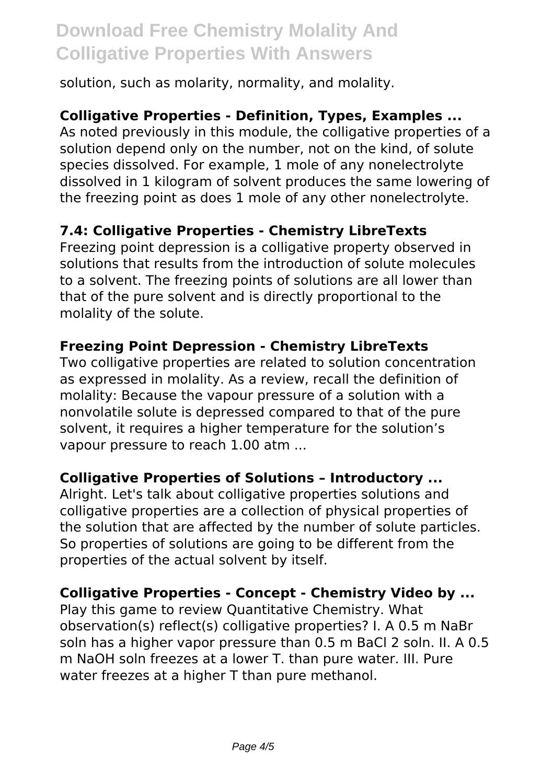solution, such as molarity, normality, and molality.

#### **Colligative Properties - Definition, Types, Examples ...**

As noted previously in this module, the colligative properties of a solution depend only on the number, not on the kind, of solute species dissolved. For example, 1 mole of any nonelectrolyte dissolved in 1 kilogram of solvent produces the same lowering of the freezing point as does 1 mole of any other nonelectrolyte.

#### **7.4: Colligative Properties - Chemistry LibreTexts**

Freezing point depression is a colligative property observed in solutions that results from the introduction of solute molecules to a solvent. The freezing points of solutions are all lower than that of the pure solvent and is directly proportional to the molality of the solute.

#### **Freezing Point Depression - Chemistry LibreTexts**

Two colligative properties are related to solution concentration as expressed in molality. As a review, recall the definition of molality: Because the vapour pressure of a solution with a nonvolatile solute is depressed compared to that of the pure solvent, it requires a higher temperature for the solution's vapour pressure to reach 1.00 atm ...

#### **Colligative Properties of Solutions – Introductory ...**

Alright. Let's talk about colligative properties solutions and colligative properties are a collection of physical properties of the solution that are affected by the number of solute particles. So properties of solutions are going to be different from the properties of the actual solvent by itself.

#### **Colligative Properties - Concept - Chemistry Video by ...**

Play this game to review Quantitative Chemistry. What observation(s) reflect(s) colligative properties? I. A 0.5 m NaBr soln has a higher vapor pressure than 0.5 m BaCl 2 soln. II. A 0.5 m NaOH soln freezes at a lower T. than pure water. III. Pure water freezes at a higher T than pure methanol.